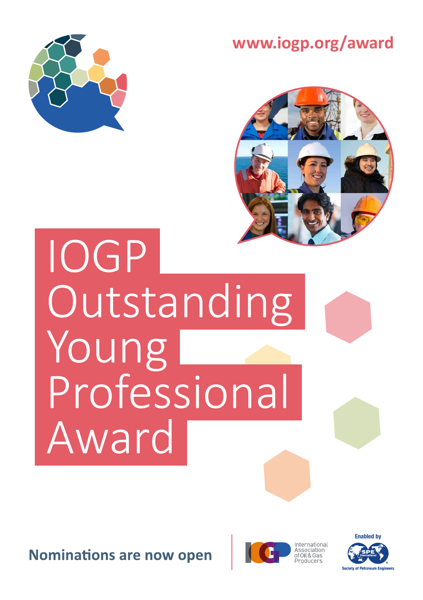





 IOGP **Outstanding**  Young Professional Award

**Nominations are now open** 



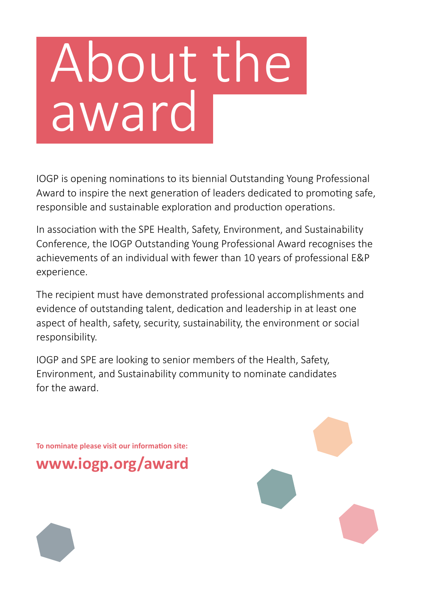# About the award

IOGP is opening nominations to its biennial Outstanding Young Professional Award to inspire the next generation of leaders dedicated to promoting safe, responsible and sustainable exploration and production operations.

In association with the SPE Health, Safety, Environment, and Sustainability Conference, the IOGP Outstanding Young Professional Award recognises the achievements of an individual with fewer than 10 years of professional E&P experience.

The recipient must have demonstrated professional accomplishments and evidence of outstanding talent, dedication and leadership in at least one aspect of health, safety, security, sustainability, the environment or social responsibility.

IOGP and SPE are looking to senior members of the Health, Safety, Environment, and Sustainability community to nominate candidates for the award.

**To nominate please visit our information site: www.iogp.org/award**

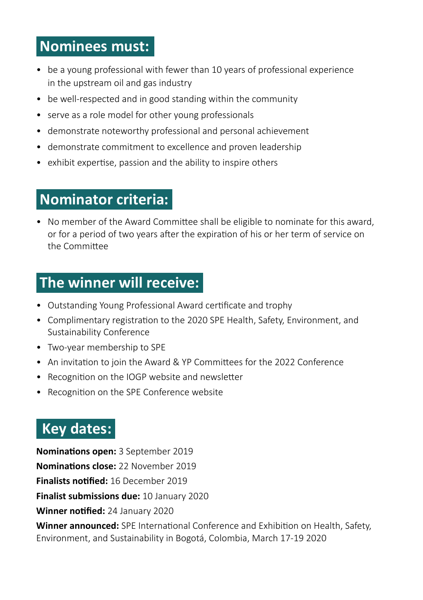# **Nominees must:**

- be a young professional with fewer than 10 years of professional experience in the upstream oil and gas industry
- be well-respected and in good standing within the community
- serve as a role model for other young professionals
- demonstrate noteworthy professional and personal achievement
- demonstrate commitment to excellence and proven leadership
- exhibit expertise, passion and the ability to inspire others

### **Nominator criteria:**

• No member of the Award Committee shall be eligible to nominate for this award, or for a period of two years after the expiration of his or her term of service on the Committee

### **The winner will receive:**

- Outstanding Young Professional Award certificate and trophy
- Complimentary registration to the 2020 SPE Health, Safety, Environment, and Sustainability Conference
- Two-year membership to SPE
- An invitation to join the Award & YP Committees for the 2022 Conference
- Recognition on the IOGP website and newsletter
- Recognition on the SPE Conference website

## **Key dates:**

**Nominations open:** 3 September 2019 **Nominations close:** 22 November 2019 **Finalists notified:** 16 December 2019 **Finalist submissions due:** 10 January 2020 **Winner notified:** 24 January 2020 **Winner announced:** SPE International Conference and Exhibition on Health, Safety, Environment, and Sustainability in Bogotá, Colombia, March 17-19 2020